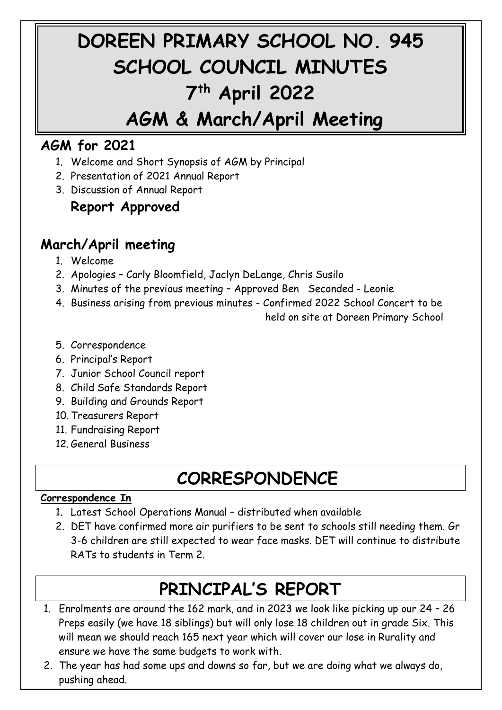# **DOREEN PRIMARY SCHOOL NO. 945 SCHOOL COUNCIL MINUTES 7 th April 2022**

### **AGM & March/April Meeting**

#### **AGM for 2021**

- 1. Welcome and Short Synopsis of AGM by Principal
- 2. Presentation of 2021 Annual Report
- 3. Discussion of Annual Report

#### **Report Approved**

#### **March/April meeting**

- 1. Welcome
- 2. Apologies Carly Bloomfield, Jaclyn DeLange, Chris Susilo
- 3. Minutes of the previous meeting Approved Ben Seconded Leonie
- 4. Business arising from previous minutes Confirmed 2022 School Concert to be

held on site at Doreen Primary School

- 5. Correspondence
- 6. Principal's Report
- 7. Junior School Council report
- 8. Child Safe Standards Report
- 9. Building and Grounds Report
- 10. Treasurers Report
- 11. Fundraising Report
- 12. General Business

### **CORRESPONDENCE**

#### **Correspondence In**

- 1. Latest School Operations Manual distributed when available
- 2. DET have confirmed more air purifiers to be sent to schools still needing them. Gr 3-6 children are still expected to wear face masks. DET will continue to distribute RATs to students in Term 2.

# **PRINCIPAL'S REPORT**

- 1. Enrolments are around the 162 mark, and in 2023 we look like picking up our 24 26 Preps easily (we have 18 siblings) but will only lose 18 children out in grade Six. This will mean we should reach 165 next year which will cover our lose in Rurality and ensure we have the same budgets to work with.
- 2. The year has had some ups and downs so far, but we are doing what we always do, pushing ahead.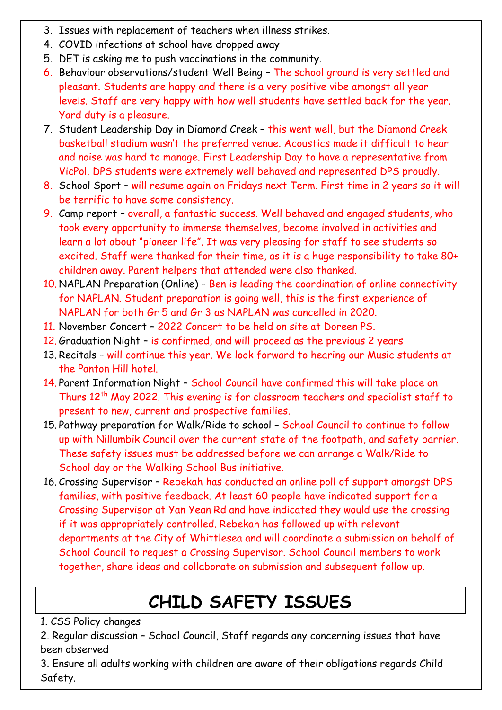- 3. Issues with replacement of teachers when illness strikes.
- 4. COVID infections at school have dropped away
- 5. DET is asking me to push vaccinations in the community.
- 6. Behaviour observations/student Well Being The school ground is very settled and pleasant. Students are happy and there is a very positive vibe amongst all year levels. Staff are very happy with how well students have settled back for the year. Yard duty is a pleasure.
- 7. Student Leadership Day in Diamond Creek this went well, but the Diamond Creek basketball stadium wasn't the preferred venue. Acoustics made it difficult to hear and noise was hard to manage. First Leadership Day to have a representative from VicPol. DPS students were extremely well behaved and represented DPS proudly.
- 8. School Sport will resume again on Fridays next Term. First time in 2 years so it will be terrific to have some consistency.
- 9. Camp report overall, a fantastic success. Well behaved and engaged students, who took every opportunity to immerse themselves, become involved in activities and learn a lot about "pioneer life". It was very pleasing for staff to see students so excited. Staff were thanked for their time, as it is a huge responsibility to take 80+ children away. Parent helpers that attended were also thanked.
- 10. NAPLAN Preparation (Online) Ben is leading the coordination of online connectivity for NAPLAN. Student preparation is going well, this is the first experience of NAPLAN for both Gr 5 and Gr 3 as NAPLAN was cancelled in 2020.
- 11. November Concert 2022 Concert to be held on site at Doreen PS.
- 12. Graduation Night is confirmed, and will proceed as the previous 2 years
- 13. Recitals will continue this year. We look forward to hearing our Music students at the Panton Hill hotel.
- 14. Parent Information Night School Council have confirmed this will take place on Thurs 12<sup>th</sup> May 2022. This evening is for classroom teachers and specialist staff to present to new, current and prospective families.
- 15. Pathway preparation for Walk/Ride to school School Council to continue to follow up with Nillumbik Council over the current state of the footpath, and safety barrier. These safety issues must be addressed before we can arrange a Walk/Ride to School day or the Walking School Bus initiative.
- 16. Crossing Supervisor Rebekah has conducted an online poll of support amongst DPS families, with positive feedback. At least 60 people have indicated support for a Crossing Supervisor at Yan Yean Rd and have indicated they would use the crossing if it was appropriately controlled. Rebekah has followed up with relevant departments at the City of Whittlesea and will coordinate a submission on behalf of School Council to request a Crossing Supervisor. School Council members to work together, share ideas and collaborate on submission and subsequent follow up.

### **CHILD SAFETY ISSUES**

#### 1. CSS Policy changes

2. Regular discussion – School Council, Staff regards any concerning issues that have been observed

3. Ensure all adults working with children are aware of their obligations regards Child Safety.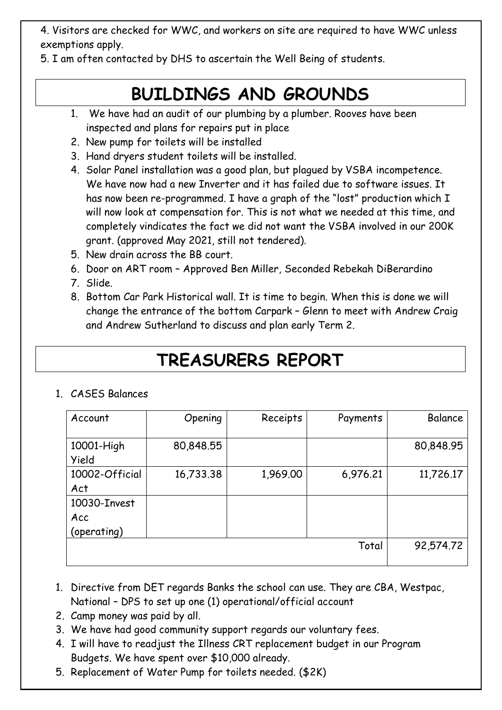4. Visitors are checked for WWC, and workers on site are required to have WWC unless exemptions apply.

5. I am often contacted by DHS to ascertain the Well Being of students.

# **BUILDINGS AND GROUNDS**

- 1. We have had an audit of our plumbing by a plumber. Rooves have been inspected and plans for repairs put in place
- 2. New pump for toilets will be installed
- 3. Hand dryers student toilets will be installed.
- 4. Solar Panel installation was a good plan, but plagued by VSBA incompetence. We have now had a new Inverter and it has failed due to software issues. It has now been re-programmed. I have a graph of the "lost" production which I will now look at compensation for. This is not what we needed at this time, and completely vindicates the fact we did not want the VSBA involved in our 200K grant. (approved May 2021, still not tendered).
- 5. New drain across the BB court.
- 6. Door on ART room Approved Ben Miller, Seconded Rebekah DiBerardino
- 7. Slide.
- 8. Bottom Car Park Historical wall. It is time to begin. When this is done we will change the entrance of the bottom Carpark – Glenn to meet with Andrew Craig and Andrew Sutherland to discuss and plan early Term 2.

### **TREASURERS REPORT**

#### 1. CASES Balances

| Account               | Opening   | Receipts | Payments | Balance   |
|-----------------------|-----------|----------|----------|-----------|
| 10001-High<br>Yield   | 80,848.55 |          |          | 80,848.95 |
| 10002-Official<br>Act | 16,733.38 | 1,969.00 | 6,976.21 | 11,726.17 |
| 10030-Invest          |           |          |          |           |
| Acc                   |           |          |          |           |
| (operating)           |           |          |          |           |
|                       |           |          | Total    | 92,574.72 |

- 1. Directive from DET regards Banks the school can use. They are CBA, Westpac, National – DPS to set up one (1) operational/official account
- 2. Camp money was paid by all.
- 3. We have had good community support regards our voluntary fees.
- 4. I will have to readjust the Illness CRT replacement budget in our Program Budgets. We have spent over \$10,000 already.
- 5. Replacement of Water Pump for toilets needed. (\$2K)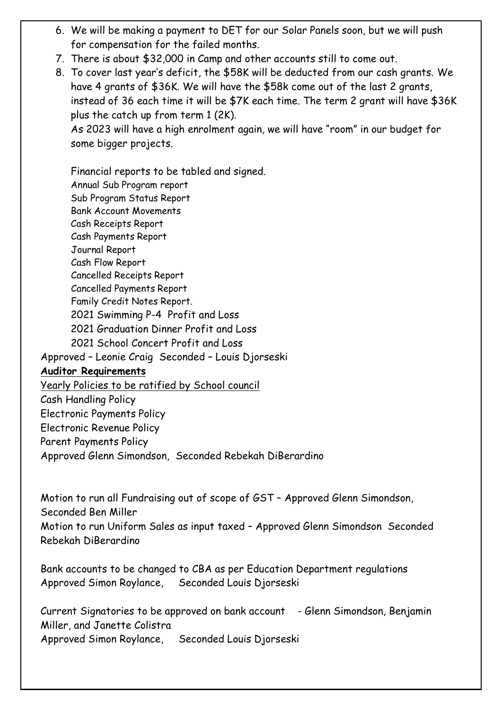- 6. We will be making a payment to DET for our Solar Panels soon, but we will push for compensation for the failed months.
- 7. There is about \$32,000 in Camp and other accounts still to come out.
- 8. To cover last year's deficit, the \$58K will be deducted from our cash grants. We have 4 grants of \$36K. We will have the \$58k come out of the last 2 grants, instead of 36 each time it will be \$7K each time. The term 2 grant will have \$36K plus the catch up from term 1 (2K).

As 2023 will have a high enrolment again, we will have "room" in our budget for some bigger projects.

Financial reports to be tabled and signed. Annual Sub Program report Sub Program Status Report Bank Account Movements Cash Receipts Report Cash Payments Report Journal Report Cash Flow Report Cancelled Receipts Report Cancelled Payments Report Family Credit Notes Report. 2021 Swimming P-4 Profit and Loss 2021 Graduation Dinner Profit and Loss 2021 School Concert Profit and Loss Approved – Leonie Craig Seconded – Louis Djorseski **Auditor Requirements** Yearly Policies to be ratified by School council Cash Handling Policy Electronic Payments Policy

Electronic Revenue Policy

Parent Payments Policy

Approved Glenn Simondson, Seconded Rebekah DiBerardino

Motion to run all Fundraising out of scope of GST – Approved Glenn Simondson,

Seconded Ben Miller

Motion to run Uniform Sales as input taxed – Approved Glenn Simondson Seconded Rebekah DiBerardino

Bank accounts to be changed to CBA as per Education Department regulations Approved Simon Roylance, Seconded Louis Djorseski

Current Signatories to be approved on bank account - Glenn Simondson, Benjamin Miller, and Janette Colistra Approved Simon Roylance, Seconded Louis Djorseski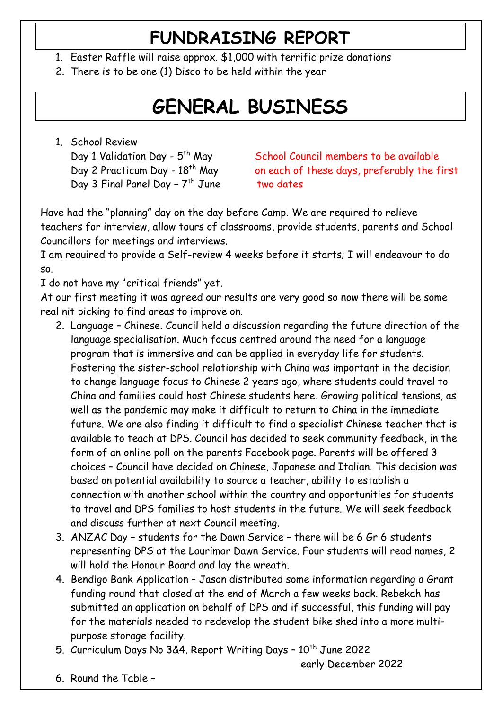#### **FUNDRAISING REPORT**

- 1. Easter Raffle will raise approx. \$1,000 with terrific prize donations
- 2. There is to be one (1) Disco to be held within the year

# **GENERAL BUSINESS**

1. School Review Day 1 Validation Day - 5<sup>th</sup> May Day 3 Final Panel Day - 7<sup>th</sup> June

School Council members to be available Day 2 Practicum Day -  $18<sup>th</sup>$  May on each of these days, preferably the first two dates

Have had the "planning" day on the day before Camp. We are required to relieve teachers for interview, allow tours of classrooms, provide students, parents and School Councillors for meetings and interviews.

I am required to provide a Self-review 4 weeks before it starts; I will endeavour to do so.

I do not have my "critical friends" yet.

At our first meeting it was agreed our results are very good so now there will be some real nit picking to find areas to improve on.

- 2. Language Chinese. Council held a discussion regarding the future direction of the language specialisation. Much focus centred around the need for a language program that is immersive and can be applied in everyday life for students. Fostering the sister-school relationship with China was important in the decision to change language focus to Chinese 2 years ago, where students could travel to China and families could host Chinese students here. Growing political tensions, as well as the pandemic may make it difficult to return to China in the immediate future. We are also finding it difficult to find a specialist Chinese teacher that is available to teach at DPS. Council has decided to seek community feedback, in the form of an online poll on the parents Facebook page. Parents will be offered 3 choices – Council have decided on Chinese, Japanese and Italian. This decision was based on potential availability to source a teacher, ability to establish a connection with another school within the country and opportunities for students to travel and DPS families to host students in the future. We will seek feedback and discuss further at next Council meeting.
- 3. ANZAC Day students for the Dawn Service there will be 6 Gr 6 students representing DPS at the Laurimar Dawn Service. Four students will read names, 2 will hold the Honour Board and lay the wreath.
- 4. Bendigo Bank Application Jason distributed some information regarding a Grant funding round that closed at the end of March a few weeks back. Rebekah has submitted an application on behalf of DPS and if successful, this funding will pay for the materials needed to redevelop the student bike shed into a more multipurpose storage facility.
- 5. Curriculum Days No 3&4. Report Writing Days  $-10^{th}$  June 2022

early December 2022

6. Round the Table –